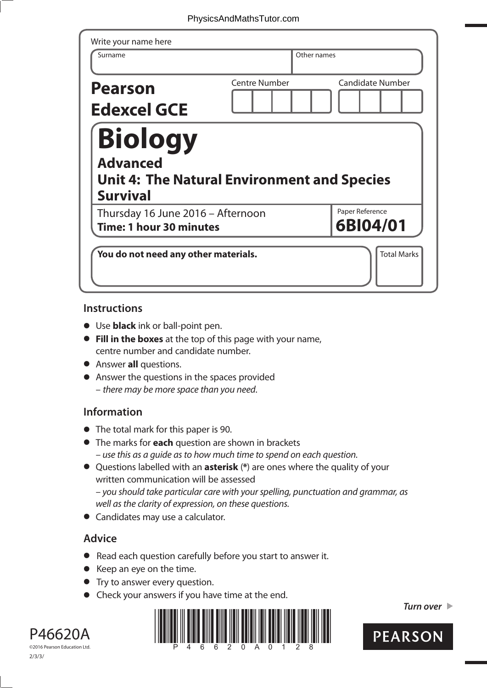| Write your name here<br>Surname                                                                            | Other names          |                             |
|------------------------------------------------------------------------------------------------------------|----------------------|-----------------------------|
| <b>Pearson</b><br><b>Edexcel GCE</b>                                                                       | <b>Centre Number</b> | <b>Candidate Number</b>     |
| <b>Biology</b><br><b>Advanced</b><br><b>Unit 4: The Natural Environment and Species</b><br><b>Survival</b> |                      |                             |
| Thursday 16 June 2016 - Afternoon<br><b>Time: 1 hour 30 minutes</b>                                        |                      | Paper Reference<br>6BI04/01 |
| You do not need any other materials.                                                                       |                      | <b>Total Marks</b>          |

#### **Instructions**

- **•** Use **black** ink or ball-point pen.
- **• Fill in the boxes** at the top of this page with your name, centre number and candidate number.
- **•** Answer **all** questions.
- **•** Answer the questions in the spaces provided – *there may be more space than you need*.

## **Information**

- **•** The total mark for this paper is 90.
- **•** The marks for **each** question are shown in brackets *– use this as a guide as to how much time to spend on each question.*
- **•** Questions labelled with an **asterisk** (**\***) are ones where the quality of your written communication will be assessed *– you should take particular care with your spelling, punctuation and grammar, as well as the clarity of expression, on these questions.*
- **•** Candidates may use a calculator.

## **Advice**

- **•** Read each question carefully before you start to answer it.
- **•** Keep an eye on the time.
- **•** Try to answer every question.
- **•** Check your answers if you have time at the end.



*Turn over* 



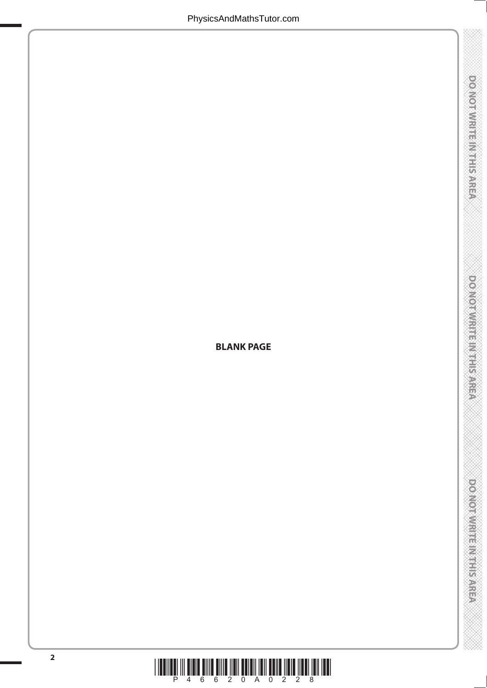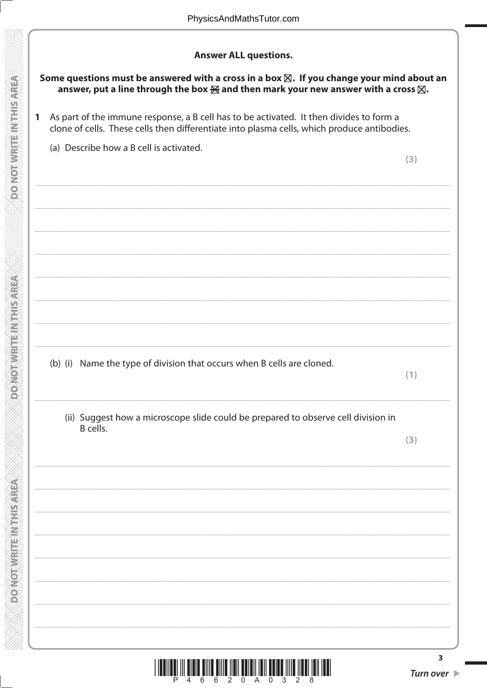### **Answer ALL questions.**

#### Some questions must be answered with a cross in a box  $\boxtimes$ . If you change your mind about an answer, put a line through the box  $\boxtimes$  and then mark your new answer with a cross  $\boxtimes$ .

- As part of the immune response, a B cell has to be activated. It then divides to form a  $\mathbf{1}$ clone of cells. These cells then differentiate into plasma cells, which produce antibodies.
	- (a) Describe how a B cell is activated.

 $(3)$ 

(b) (i) Name the type of division that occurs when B cells are cloned.

(ii) Suggest how a microscope slide could be prepared to observe cell division in B cells.

<u>TI TIILEENIN ILILEENIN ILILEENIN ILILEEN</u>

6 6 2 0 A 0 3

 $(3)$ 

**RESISTED IN A PARTICIPALIST**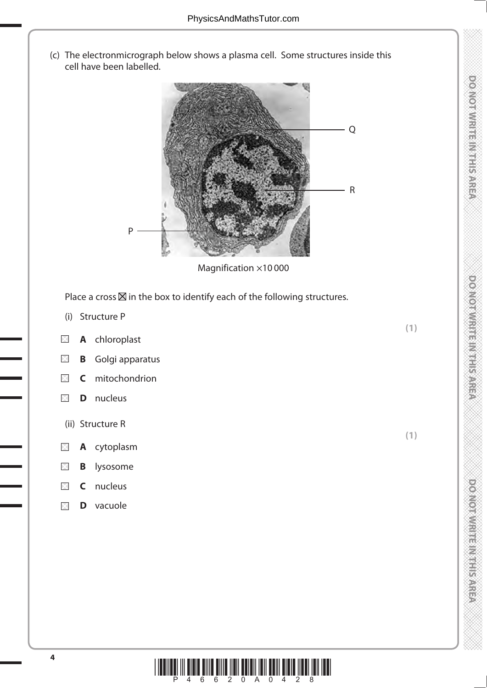(c) The electronmicrograph below shows a plasma cell. Some structures inside this cell have been labelled.



**DO NOT WRITE IN THIS AREA**

**DO NOT WRITE IN THIS AREA** 

**DO NOTE:** 

DO NOT WITH RIVERS RESPONSED

**DO NOT WRITE IN THIS AREA**

**DO NOT WRITE IN THE RARE** 

Magnification ×10 000

Place a cross  $\boxtimes$  in the box to identify each of the following structures.

 (i) Structure P **(1) A** chloroplast **B** Golgi apparatus **EC** mitochondrion **D** nucleus (ii) Structure R **(1) A** cytoplasm **B** lysosome **C** nucleus



**D** vacuole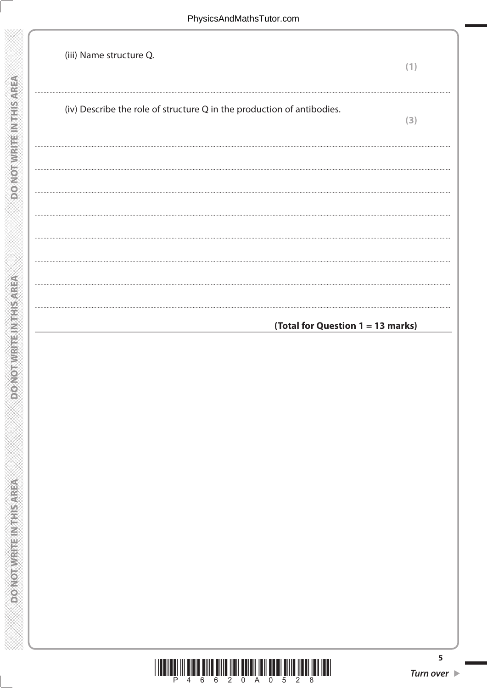|                                   | (iii) Name structure Q.                                                | (1) |
|-----------------------------------|------------------------------------------------------------------------|-----|
| <b>DOMOSHERWARENSARES</b><br><br> | (iv) Describe the role of structure Q in the production of antibodies. | (3) |
|                                   |                                                                        |     |
| NOTWRITE IN THIS AREA             | (Total for Question 1 = 13 marks)                                      |     |
| DONOT WRITEIN THIS AREA           |                                                                        |     |
|                                   |                                                                        |     |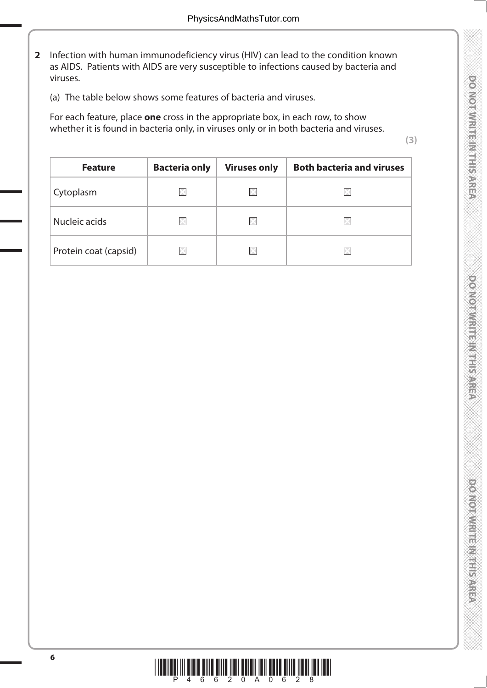- **2** Infection with human immunodeficiency virus (HIV) can lead to the condition known as AIDS. Patients with AIDS are very susceptible to infections caused by bacteria and viruses.
	- (a) The table below shows some features of bacteria and viruses.

For each feature, place **one** cross in the appropriate box, in each row, to show whether it is found in bacteria only, in viruses only or in both bacteria and viruses.

**(3)**

| <b>Feature</b>        | <b>Bacteria only</b> | <b>Viruses only</b> | <b>Both bacteria and viruses</b> |
|-----------------------|----------------------|---------------------|----------------------------------|
| Cytoplasm             |                      | ×                   |                                  |
| Nucleic acids         |                      | $>\x$               |                                  |
| Protein coat (capsid) |                      | >                   |                                  |

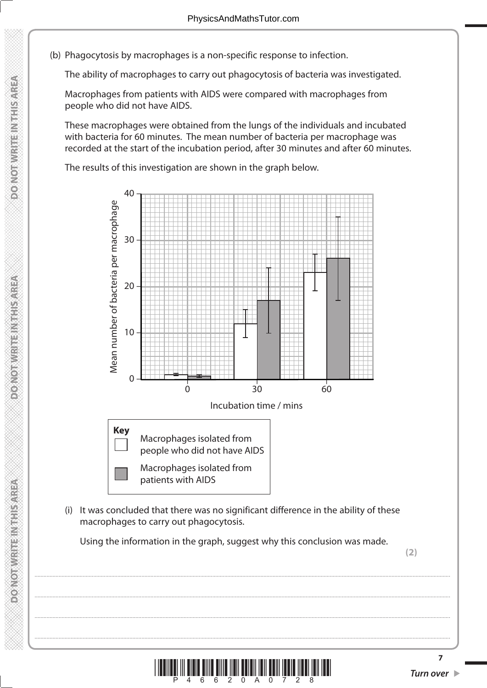(b) Phagocytosis by macrophages is a non-specific response to infection.

The ability of macrophages to carry out phagocytosis of bacteria was investigated.

Macrophages from patients with AIDS were compared with macrophages from people who did not have AIDS.

 These macrophages were obtained from the lungs of the individuals and incubated with bacteria for 60 minutes. The mean number of bacteria per macrophage was recorded at the start of the incubation period, after 30 minutes and after 60 minutes.

The results of this investigation are shown in the graph below.



 (i) It was concluded that there was no significant difference in the ability of these macrophages to carry out phagocytosis.

Using the information in the graph, suggest why this conclusion was made.

....................................................................................................................................................................................................................................................................................

....................................................................................................................................................................................................................................................................................

....................................................................................................................................................................................................................................................................................

....................................................................................................................................................................................................................................................................................

**(2)**

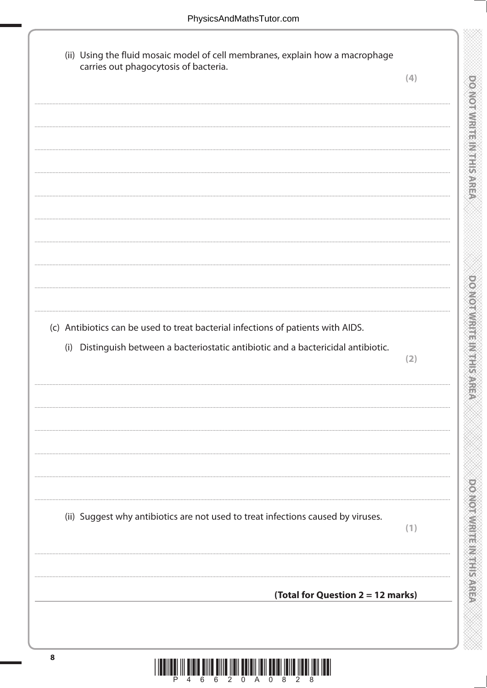| carries out phagocytosis of bacteria.                                              | (4) |
|------------------------------------------------------------------------------------|-----|
|                                                                                    |     |
|                                                                                    |     |
|                                                                                    |     |
|                                                                                    |     |
|                                                                                    |     |
|                                                                                    |     |
|                                                                                    |     |
|                                                                                    |     |
|                                                                                    |     |
|                                                                                    |     |
|                                                                                    |     |
|                                                                                    |     |
| (c) Antibiotics can be used to treat bacterial infections of patients with AIDS.   |     |
| (i) Distinguish between a bacteriostatic antibiotic and a bactericidal antibiotic. |     |
|                                                                                    | (2) |
|                                                                                    |     |
|                                                                                    |     |
|                                                                                    |     |
|                                                                                    |     |
|                                                                                    |     |
|                                                                                    |     |
|                                                                                    |     |
| (ii) Suggest why antibiotics are not used to treat infections caused by viruses.   |     |
|                                                                                    | (1) |
|                                                                                    |     |
|                                                                                    |     |
|                                                                                    |     |
| (Total for Question 2 = 12 marks)                                                  |     |
|                                                                                    |     |
|                                                                                    |     |
|                                                                                    |     |

**DOMOTIVIRIES IN THE SARES** 

**DONOTWRITE MITHIS AREA**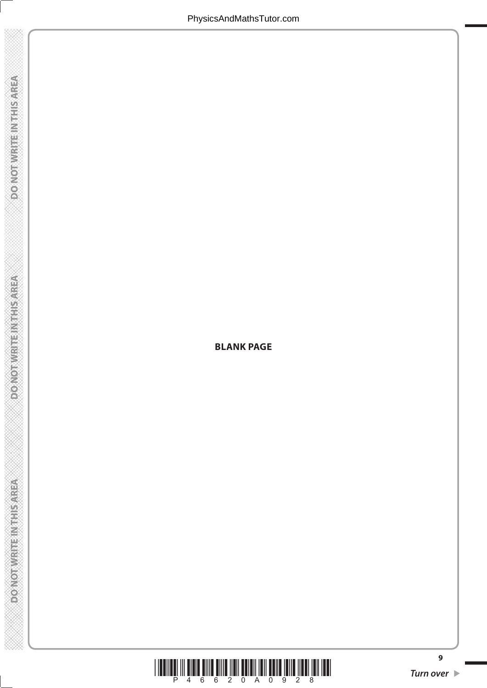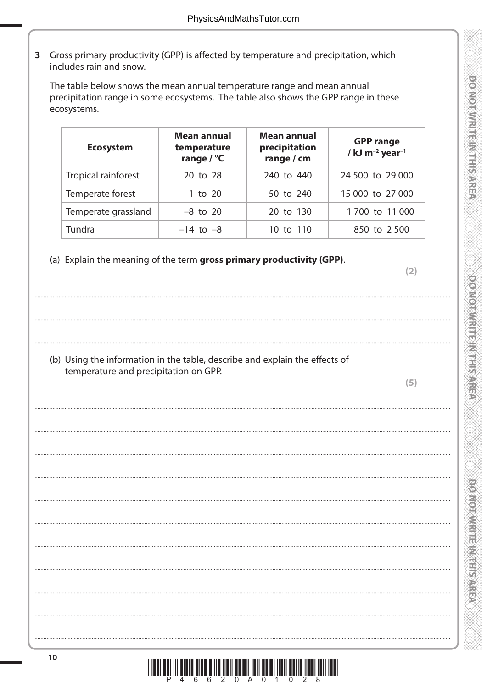3 Gross primary productivity (GPP) is affected by temperature and precipitation, which includes rain and snow.

The table below shows the mean annual temperature range and mean annual precipitation range in some ecosystems. The table also shows the GPP range in these ecosystems.

| <b>Ecosystem</b>           | Mean annual<br>temperature<br>range $/$ °C | Mean annual<br>precipitation<br>range / cm | <b>GPP range</b><br>/ $kJ$ m <sup>-2</sup> year <sup>-1</sup> |
|----------------------------|--------------------------------------------|--------------------------------------------|---------------------------------------------------------------|
| <b>Tropical rainforest</b> | 20 to 28                                   | 240 to 440                                 | 24 500 to 29 000                                              |
| Temperate forest           | 1 to 20                                    | 50 to 240                                  | 15 000 to 27 000                                              |
| Temperate grassland        | $-8$ to 20                                 | 20 to 130                                  | 1 700 to 11 000                                               |
| Tundra                     | $-14$ to $-8$                              | 10 to 110                                  | 850 to 2500                                                   |

(a) Explain the meaning of the term gross primary productivity (GPP).

 $(2)$ 

(b) Using the information in the table, describe and explain the effects of temperature and precipitation on GPP.

 $(5)$ 

**DOMORATION FOR SHOP** 

DO NOT WRITE IN THIS AREA

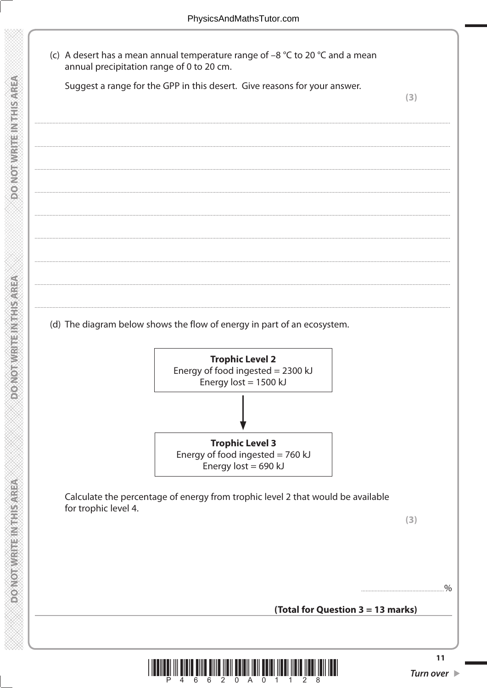(c) A desert has a mean annual temperature range of  $-8$  °C to 20 °C and a mean annual precipitation range of 0 to 20 cm.

Suggest a range for the GPP in this desert. Give reasons for your answer.

(d) The diagram below shows the flow of energy in part of an ecosystem.



 $11$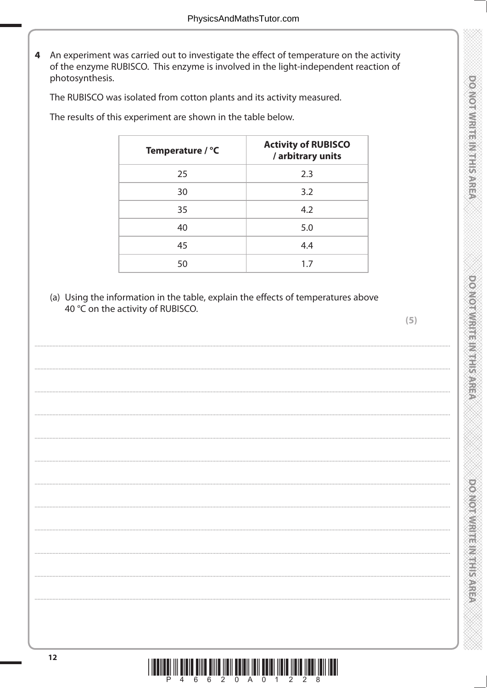An experiment was carried out to investigate the effect of temperature on the activity  $\overline{\mathbf{4}}$ of the enzyme RUBISCO. This enzyme is involved in the light-independent reaction of photosynthesis.

The RUBISCO was isolated from cotton plants and its activity measured.

The results of this experiment are shown in the table below.

| Temperature / °C | <b>Activity of RUBISCO</b><br>/ arbitrary units |
|------------------|-------------------------------------------------|
| 25               | 2.3                                             |
| 30               | 3.2                                             |
| 35               | 4.2                                             |
| 40               | 5.0                                             |
| 45               | 4.4                                             |
| 50               | 1.7                                             |
|                  |                                                 |

(a) Using the information in the table, explain the effects of temperatures above 40 °C on the activity of RUBISCO.

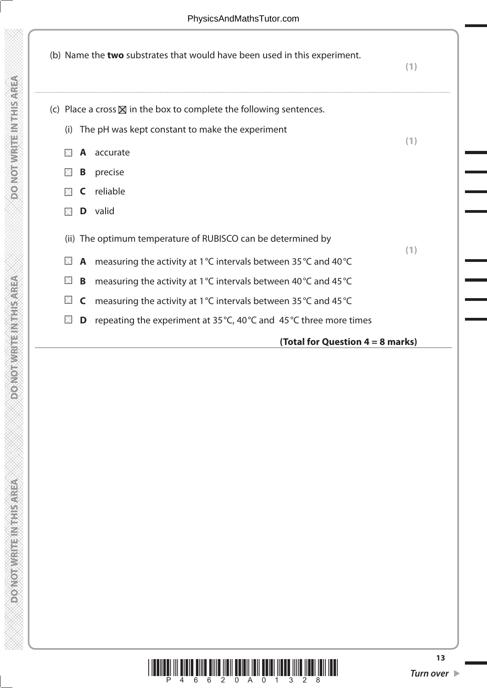| (b) Name the two substrates that would have been used in this experiment.                                                                                                                                                                | (1) |
|------------------------------------------------------------------------------------------------------------------------------------------------------------------------------------------------------------------------------------------|-----|
| (c) Place a cross $\boxtimes$ in the box to complete the following sentences.<br>The pH was kept constant to make the experiment<br>(i)<br>accurate<br>A<br>precise<br>B                                                                 | (1) |
| <b>C</b> reliable<br>D valid                                                                                                                                                                                                             |     |
| (ii) The optimum temperature of RUBISCO can be determined by<br><b>A</b> measuring the activity at 1°C intervals between 35°C and 40°C<br>$\mathbb{X}$<br>measuring the activity at 1°C intervals between 40°C and 45°C<br>$\times$<br>B | (1) |
| measuring the activity at 1°C intervals between 35°C and 45°C<br>$\times$<br>C<br>repeating the experiment at 35 °C, 40 °C and 45 °C three more times<br>D<br>(Total for Question 4 = 8 marks)                                           |     |

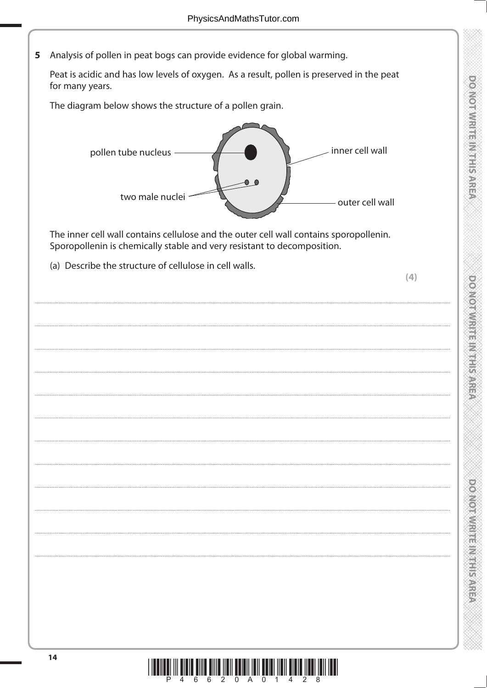5 Analysis of pollen in peat bogs can provide evidence for global warming.

Peat is acidic and has low levels of oxygen. As a result, pollen is preserved in the peat for many years.

The diagram below shows the structure of a pollen grain.



**Polycial Microsoft Property**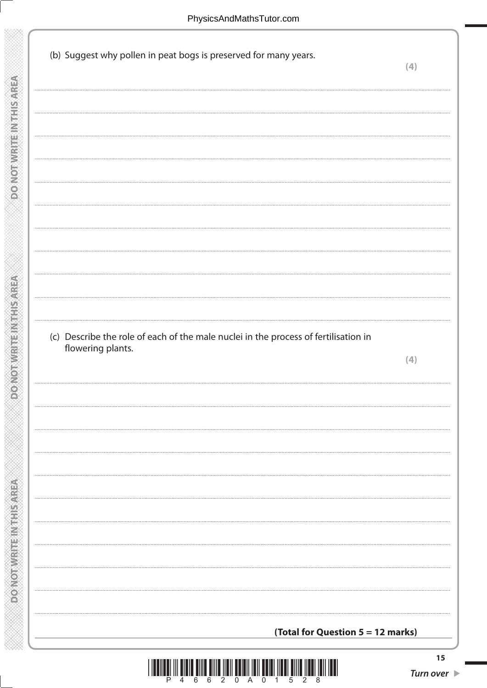**DO NOT WRITE IN THIS AREA** 

**DONOTWRITEINTHISAREA** 

**DONOT WRITEIN THIS AREA** 

| (b) Suggest why pollen in peat bogs is preserved for many years.                                         | (4) |
|----------------------------------------------------------------------------------------------------------|-----|
|                                                                                                          |     |
|                                                                                                          |     |
|                                                                                                          |     |
|                                                                                                          |     |
|                                                                                                          |     |
|                                                                                                          |     |
|                                                                                                          |     |
|                                                                                                          |     |
|                                                                                                          |     |
|                                                                                                          |     |
|                                                                                                          |     |
|                                                                                                          |     |
|                                                                                                          |     |
|                                                                                                          |     |
| (c) Describe the role of each of the male nuclei in the process of fertilisation in<br>flowering plants. |     |
|                                                                                                          | (4) |
|                                                                                                          |     |
|                                                                                                          |     |
|                                                                                                          |     |
|                                                                                                          |     |
|                                                                                                          |     |
|                                                                                                          |     |
|                                                                                                          |     |
|                                                                                                          |     |
|                                                                                                          |     |
|                                                                                                          |     |
|                                                                                                          |     |
|                                                                                                          |     |
|                                                                                                          |     |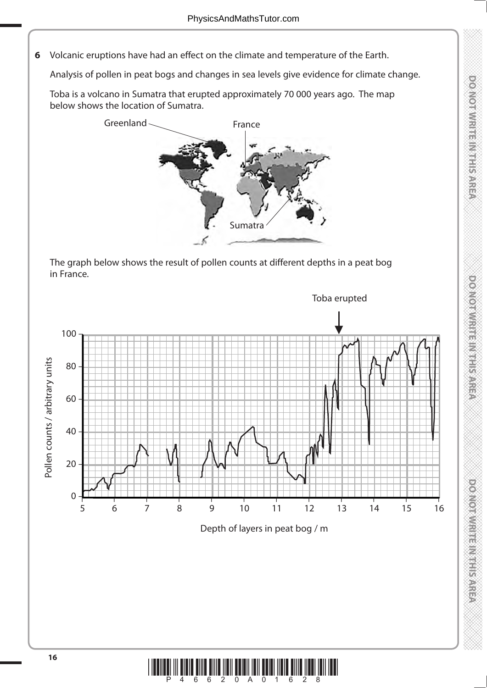**6** Volcanic eruptions have had an effect on the climate and temperature of the Earth.

Analysis of pollen in peat bogs and changes in sea levels give evidence for climate change.

**DO NOT WRITE IN THIS AREA**

**DO NOT WRITE IN THIS AREA** 

**DO NOTE:** 

power was also the way is studied

**DO NOT WRITE IN THIS AREA**

**PORTORIAL PROPERTY AND INCOME.** 

Toba is a volcano in Sumatra that erupted approximately 70 000 years ago. The map below shows the location of Sumatra.



The graph below shows the result of pollen counts at different depths in a peat bog in France.



Depth of layers in peat bog / m

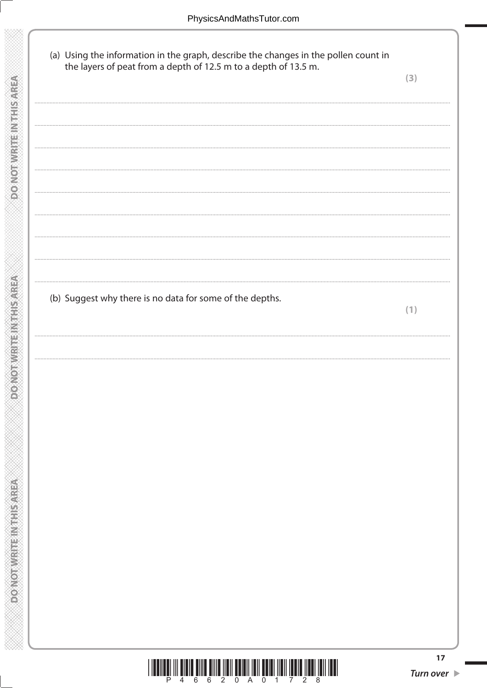**DO NOT WRITE IN THIS AREA** 

**DONOTWRITE INTHIS AREA** 

**ASING PRIMERING ANOXOR** 

| (b) Suggest why there is no data for some of the depths. | (1) |
|----------------------------------------------------------|-----|
|                                                          |     |
|                                                          |     |
|                                                          |     |
|                                                          |     |
|                                                          |     |
|                                                          |     |
|                                                          |     |
|                                                          |     |
|                                                          |     |
|                                                          |     |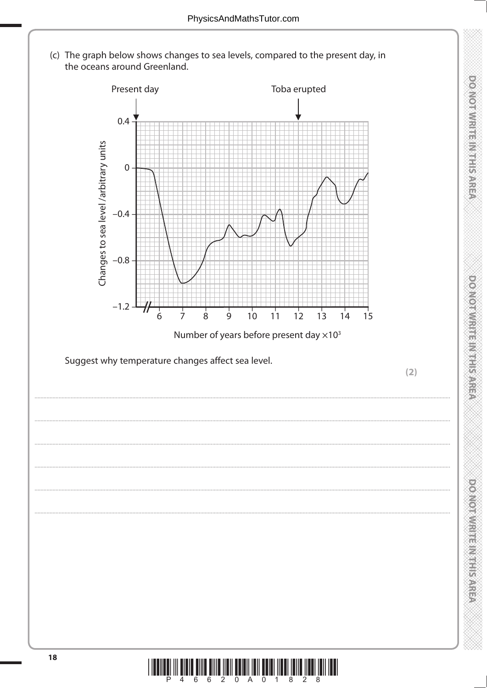(c) The graph below shows changes to sea levels, compared to the present day, in the oceans around Greenland.



**POING MANUFACTURERS AND STREET**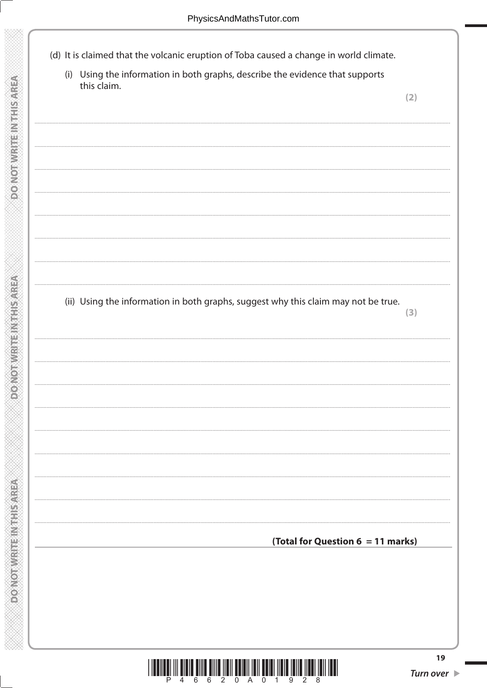**DO NOT WRITE INTHIS AREA** 

**DONOTWRITEIN THIS AREA** 

**AS WORKING THAT HIS AREA** 

(d) It is claimed that the volcanic eruption of Toba caused a change in world climate. (i) Using the information in both graphs, describe the evidence that supports this claim.  $(2)$ (ii) Using the information in both graphs, suggest why this claim may not be true.  $(3)$ (Total for Question 6 = 11 marks)

![](_page_18_Picture_2.jpeg)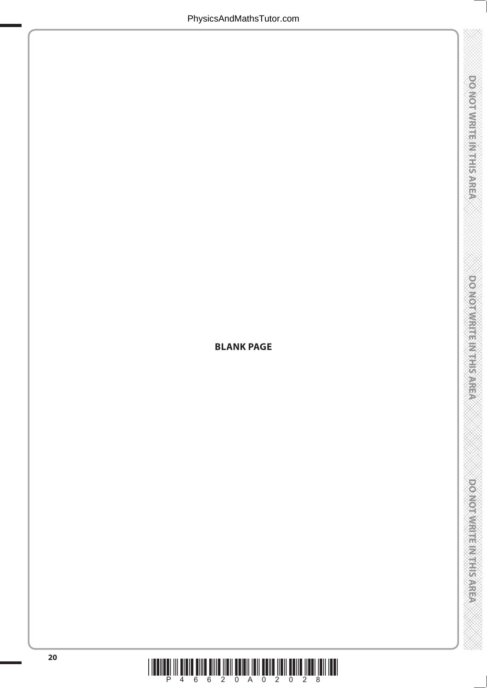![](_page_19_Picture_5.jpeg)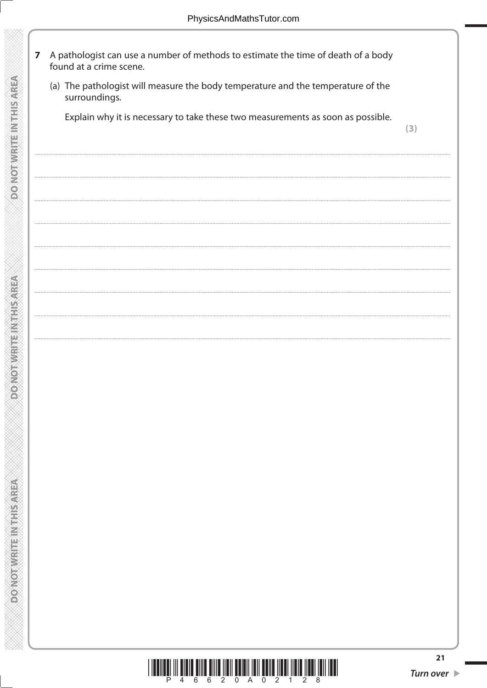**DO NOT WRITE INTHIS AREA** 

**DOMOT WRITEIN THIS AREA** 

**AS WORKING THAT HIS AREA** 

A pathologist can use a number of methods to estimate the time of death of a body  $\overline{\mathbf{z}}$ found at a crime scene. (a) The pathologist will measure the body temperature and the temperature of the surroundings. Explain why it is necessary to take these two measurements as soon as possible.  $(3)$  $21$ 

<u>I III QIND DIID IIII QIDI QIDI DIID III QIDD III QI</u> 4 6 6 2 0 A 0 2 1 2 8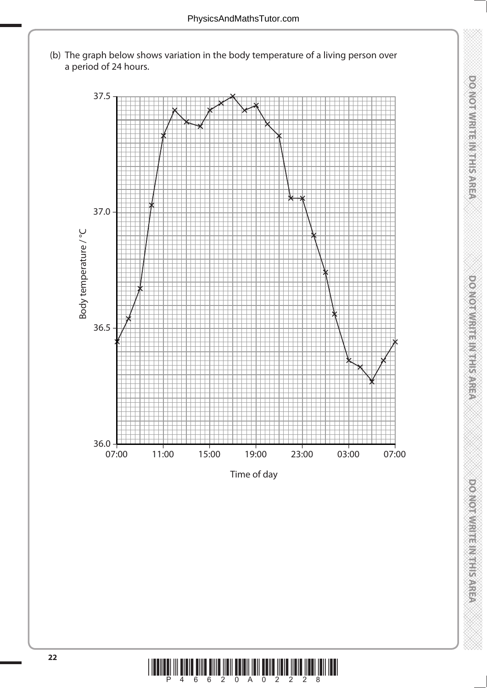(b) The graph below shows variation in the body temperature of a living person over a period of 24 hours.

![](_page_21_Figure_2.jpeg)

Time of day

![](_page_21_Picture_4.jpeg)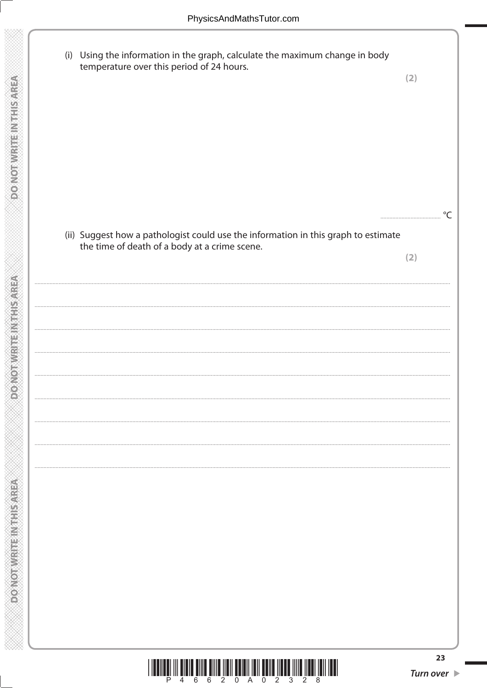**DO NOT WRITE IN THIS AREA** 

DO NOT WEITEIN THIS AREA

**JOONOT WRITE IN THIS AREA** 

| $^{\circ}$ C<br>(ii) Suggest how a pathologist could use the information in this graph to estimate<br>the time of death of a body at a crime scene.<br>(2) | (i) Using the information in the graph, calculate the maximum change in body<br>temperature over this period of 24 hours. | (2) |
|------------------------------------------------------------------------------------------------------------------------------------------------------------|---------------------------------------------------------------------------------------------------------------------------|-----|
|                                                                                                                                                            |                                                                                                                           |     |
|                                                                                                                                                            |                                                                                                                           |     |
|                                                                                                                                                            |                                                                                                                           |     |
|                                                                                                                                                            |                                                                                                                           |     |
|                                                                                                                                                            |                                                                                                                           |     |

![](_page_22_Picture_2.jpeg)

 $23$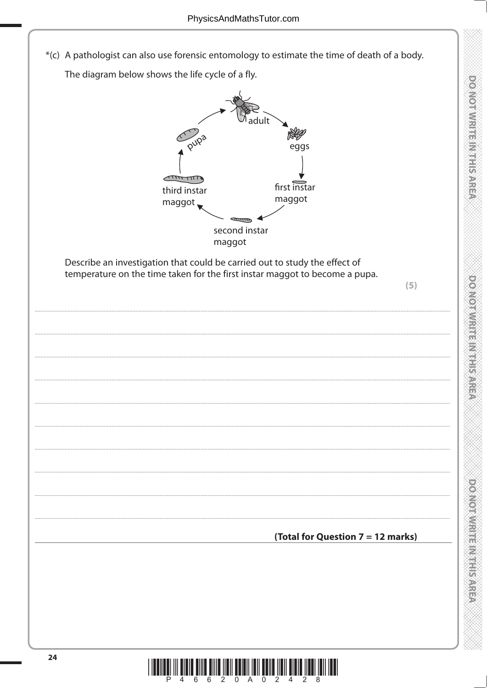\*(c) A pathologist can also use forensic entomology to estimate the time of death of a body.

![](_page_23_Picture_2.jpeg)

<u>i III ÎLANÊ ÊINA ÎNIN ÎNIN ÊNINÎTIN ÊNIN ÎNIN ÎNIN ÎNIN ÎNIN</u>

**POSTORY IN EXPLORATION**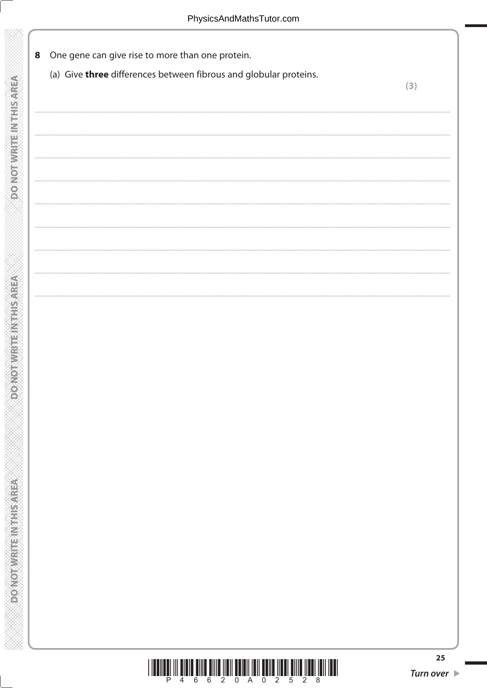- One gene can give rise to more than one protein. 8
	- (a) Give three differences between fibrous and globular proteins.

![](_page_24_Picture_7.jpeg)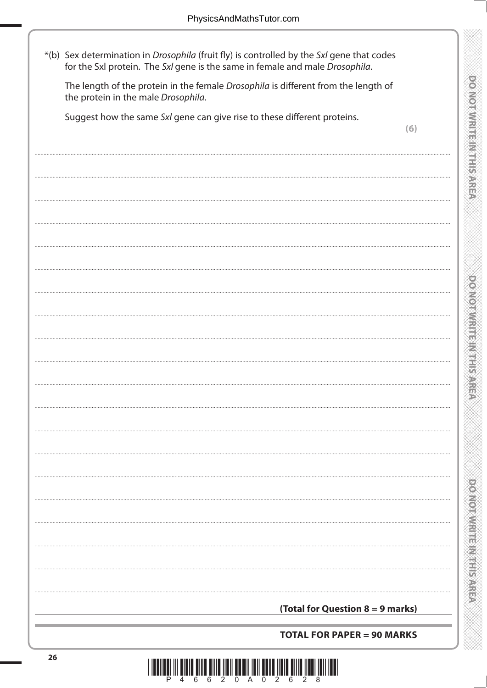| *(b) Sex determination in <i>Drosophila</i> (fruit fly) is controlled by the Sxl gene that codes<br>for the Sxl protein. The Sxl gene is the same in female and male Drosophila. |  |
|----------------------------------------------------------------------------------------------------------------------------------------------------------------------------------|--|
| The length of the protein in the female <i>Drosophila</i> is different from the length of<br>the protein in the male Drosophila.                                                 |  |
| Suggest how the same Sxl gene can give rise to these different proteins.                                                                                                         |  |
|                                                                                                                                                                                  |  |
|                                                                                                                                                                                  |  |

power with the Kitches Area **PONOTIVE IT ENTIRES** (Total for Question  $8 = 9$  marks)

DOMOTWRITE IN THIS AREA

**TOTAL FOR PAPER = 90 MARKS** 

![](_page_25_Picture_5.jpeg)

 $\ddot{\phantom{a}}$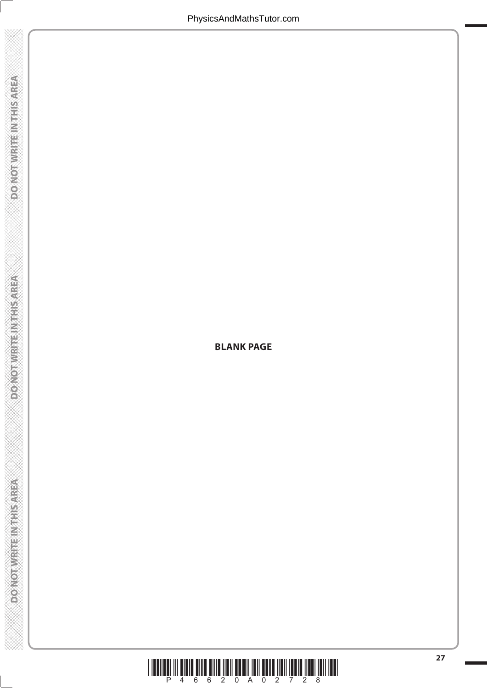![](_page_26_Picture_5.jpeg)